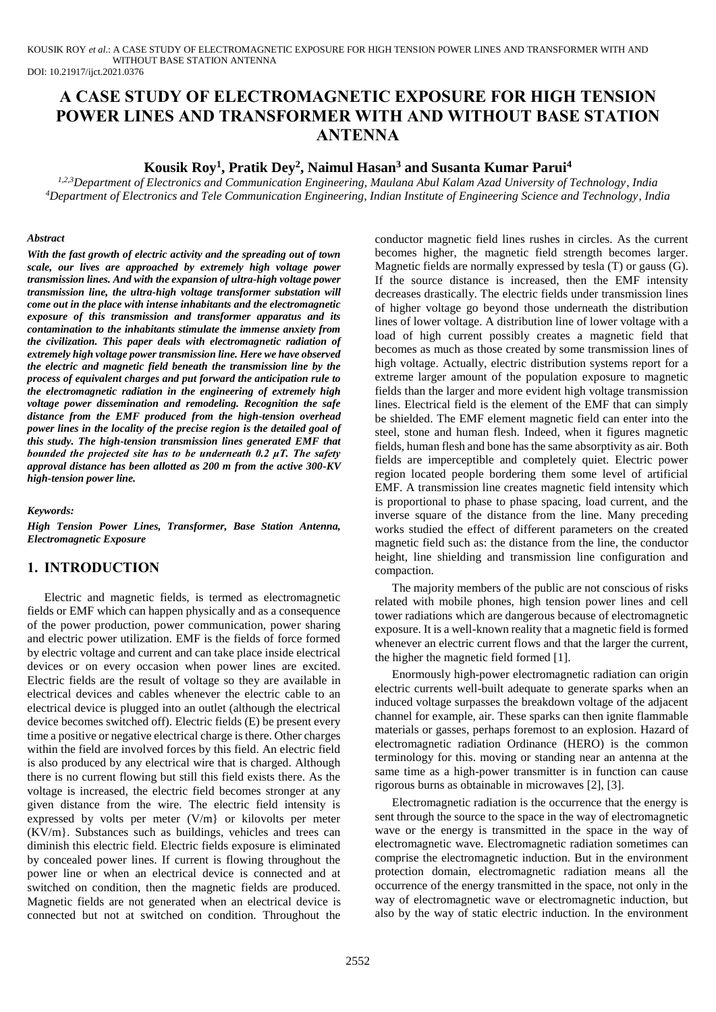KOUSIK ROY *et al*.: A CASE STUDY OF ELECTROMAGNETIC EXPOSURE FOR HIGH TENSION POWER LINES AND TRANSFORMER WITH AND WITHOUT BASE STATION ANTENNA

DOI: 10.21917/ijct.2021.0376

# **A CASE STUDY OF ELECTROMAGNETIC EXPOSURE FOR HIGH TENSION POWER LINES AND TRANSFORMER WITH AND WITHOUT BASE STATION ANTENNA**

# **Kousik Roy<sup>1</sup> , Pratik Dey<sup>2</sup> , Naimul Hasan<sup>3</sup> and Susanta Kumar Parui<sup>4</sup>**

*1,2,3Department of Electronics and Communication Engineering, Maulana Abul Kalam Azad University of Technology, India <sup>4</sup>Department of Electronics and Tele Communication Engineering, Indian Institute of Engineering Science and Technology, India*

### *Abstract*

*With the fast growth of electric activity and the spreading out of town scale, our lives are approached by extremely high voltage power transmission lines. And with the expansion of ultra-high voltage power transmission line, the ultra-high voltage transformer substation will come out in the place with intense inhabitants and the electromagnetic exposure of this transmission and transformer apparatus and its contamination to the inhabitants stimulate the immense anxiety from the civilization. This paper deals with electromagnetic radiation of extremely high voltage power transmission line. Here we have observed the electric and magnetic field beneath the transmission line by the process of equivalent charges and put forward the anticipation rule to the electromagnetic radiation in the engineering of extremely high voltage power dissemination and remodeling. Recognition the safe distance from the EMF produced from the high-tension overhead power lines in the locality of the precise region is the detailed goal of this study. The high-tension transmission lines generated EMF that bounded the projected site has to be underneath 0.2 μT. The safety approval distance has been allotted as 200 m from the active 300-KV high-tension power line.*

*Keywords:*

*High Tension Power Lines, Transformer, Base Station Antenna, Electromagnetic Exposure*

# **1. INTRODUCTION**

Electric and magnetic fields, is termed as electromagnetic fields or EMF which can happen physically and as a consequence of the power production, power communication, power sharing and electric power utilization. EMF is the fields of force formed by electric voltage and current and can take place inside electrical devices or on every occasion when power lines are excited. Electric fields are the result of voltage so they are available in electrical devices and cables whenever the electric cable to an electrical device is plugged into an outlet (although the electrical device becomes switched off). Electric fields (E) be present every time a positive or negative electrical charge is there. Other charges within the field are involved forces by this field. An electric field is also produced by any electrical wire that is charged. Although there is no current flowing but still this field exists there. As the voltage is increased, the electric field becomes stronger at any given distance from the wire. The electric field intensity is expressed by volts per meter (V/m} or kilovolts per meter (KV/m}. Substances such as buildings, vehicles and trees can diminish this electric field. Electric fields exposure is eliminated by concealed power lines. If current is flowing throughout the power line or when an electrical device is connected and at switched on condition, then the magnetic fields are produced. Magnetic fields are not generated when an electrical device is connected but not at switched on condition. Throughout the conductor magnetic field lines rushes in circles. As the current becomes higher, the magnetic field strength becomes larger. Magnetic fields are normally expressed by tesla (T) or gauss (G). If the source distance is increased, then the EMF intensity decreases drastically. The electric fields under transmission lines of higher voltage go beyond those underneath the distribution lines of lower voltage. A distribution line of lower voltage with a load of high current possibly creates a magnetic field that becomes as much as those created by some transmission lines of high voltage. Actually, electric distribution systems report for a extreme larger amount of the population exposure to magnetic fields than the larger and more evident high voltage transmission lines. Electrical field is the element of the EMF that can simply be shielded. The EMF element magnetic field can enter into the steel, stone and human flesh. Indeed, when it figures magnetic fields, human flesh and bone has the same absorptivity as air. Both fields are imperceptible and completely quiet. Electric power region located people bordering them some level of artificial EMF. A transmission line creates magnetic field intensity which is proportional to phase to phase spacing, load current, and the inverse square of the distance from the line. Many preceding works studied the effect of different parameters on the created magnetic field such as: the distance from the line, the conductor height, line shielding and transmission line configuration and compaction.

The majority members of the public are not conscious of risks related with mobile phones, high tension power lines and cell tower radiations which are dangerous because of electromagnetic exposure. It is a well-known reality that a magnetic field is formed whenever an electric current flows and that the larger the current, the higher the magnetic field formed [1].

Enormously high-power electromagnetic radiation can origin electric currents well-built adequate to generate sparks when an induced voltage surpasses the breakdown voltage of the adjacent channel for example, air. These sparks can then ignite flammable materials or gasses, perhaps foremost to an explosion. Hazard of electromagnetic radiation Ordinance (HERO) is the common terminology for this. moving or standing near an antenna at the same time as a high-power transmitter is in function can cause rigorous burns as obtainable in microwaves [2], [3].

Electromagnetic radiation is the occurrence that the energy is sent through the source to the space in the way of electromagnetic wave or the energy is transmitted in the space in the way of electromagnetic wave. Electromagnetic radiation sometimes can comprise the electromagnetic induction. But in the environment protection domain, electromagnetic radiation means all the occurrence of the energy transmitted in the space, not only in the way of electromagnetic wave or electromagnetic induction, but also by the way of static electric induction. In the environment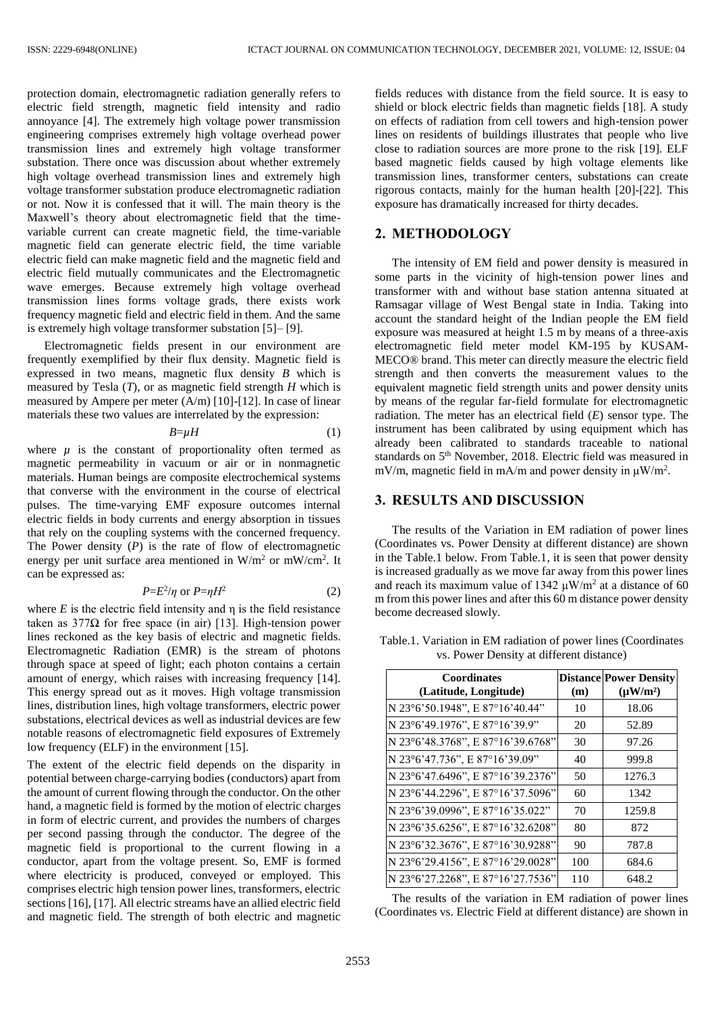protection domain, electromagnetic radiation generally refers to electric field strength, magnetic field intensity and radio annoyance [4]. The extremely high voltage power transmission engineering comprises extremely high voltage overhead power transmission lines and extremely high voltage transformer substation. There once was discussion about whether extremely high voltage overhead transmission lines and extremely high voltage transformer substation produce electromagnetic radiation or not. Now it is confessed that it will. The main theory is the Maxwell's theory about electromagnetic field that the timevariable current can create magnetic field, the time-variable magnetic field can generate electric field, the time variable electric field can make magnetic field and the magnetic field and electric field mutually communicates and the Electromagnetic wave emerges. Because extremely high voltage overhead transmission lines forms voltage grads, there exists work frequency magnetic field and electric field in them. And the same is extremely high voltage transformer substation [5]– [9].

Electromagnetic fields present in our environment are frequently exemplified by their flux density. Magnetic field is expressed in two means, magnetic flux density *B* which is measured by Tesla (*T*), or as magnetic field strength *H* which is measured by Ampere per meter (A/m) [10]-[12]. In case of linear materials these two values are interrelated by the expression:

 $B=\mu H$  (1)

where  $\mu$  is the constant of proportionality often termed as magnetic permeability in vacuum or air or in nonmagnetic materials. Human beings are composite electrochemical systems that converse with the environment in the course of electrical pulses. The time-varying EMF exposure outcomes internal electric fields in body currents and energy absorption in tissues that rely on the coupling systems with the concerned frequency. The Power density (*P*) is the rate of flow of electromagnetic energy per unit surface area mentioned in  $W/m^2$  or  $mW/cm^2$ . It can be expressed as:

$$
P = E^2 / \eta \text{ or } P = \eta H^2 \tag{2}
$$

where  $E$  is the electric field intensity and  $\eta$  is the field resistance taken as 377 $Ω$  for free space (in air) [13]. High-tension power lines reckoned as the key basis of electric and magnetic fields. Electromagnetic Radiation (EMR) is the stream of photons through space at speed of light; each photon contains a certain amount of energy, which raises with increasing frequency [14]. This energy spread out as it moves. High voltage transmission lines, distribution lines, high voltage transformers, electric power substations, electrical devices as well as industrial devices are few notable reasons of electromagnetic field exposures of Extremely low frequency (ELF) in the environment [15].

The extent of the electric field depends on the disparity in potential between charge-carrying bodies (conductors) apart from the amount of current flowing through the conductor. On the other hand, a magnetic field is formed by the motion of electric charges in form of electric current, and provides the numbers of charges per second passing through the conductor. The degree of the magnetic field is proportional to the current flowing in a conductor, apart from the voltage present. So, EMF is formed where electricity is produced, conveyed or employed. This comprises electric high tension power lines, transformers, electric sections [16], [17]. All electric streams have an allied electric field and magnetic field. The strength of both electric and magnetic fields reduces with distance from the field source. It is easy to shield or block electric fields than magnetic fields [18]. A study on effects of radiation from cell towers and high-tension power lines on residents of buildings illustrates that people who live close to radiation sources are more prone to the risk [19]. ELF based magnetic fields caused by high voltage elements like transmission lines, transformer centers, substations can create rigorous contacts, mainly for the human health [20]-[22]. This exposure has dramatically increased for thirty decades.

## **2. METHODOLOGY**

The intensity of EM field and power density is measured in some parts in the vicinity of high-tension power lines and transformer with and without base station antenna situated at Ramsagar village of West Bengal state in India. Taking into account the standard height of the Indian people the EM field exposure was measured at height 1.5 m by means of a three-axis electromagnetic field meter model KM-195 by KUSAM-MECO® brand. This meter can directly measure the electric field strength and then converts the measurement values to the equivalent magnetic field strength units and power density units by means of the regular far-field formulate for electromagnetic radiation. The meter has an electrical field (*E*) sensor type. The instrument has been calibrated by using equipment which has already been calibrated to standards traceable to national standards on 5<sup>th</sup> November, 2018. Electric field was measured in mV/m, magnetic field in mA/m and power density in  $\mu$ W/m<sup>2</sup>.

# **3. RESULTS AND DISCUSSION**

The results of the Variation in EM radiation of power lines (Coordinates vs. Power Density at different distance) are shown in the Table.1 below. From Table.1, it is seen that power density is increased gradually as we move far away from this power lines and reach its maximum value of 1342  $\mu$ W/m<sup>2</sup> at a distance of 60 m from this power lines and after this 60 m distance power density become decreased slowly.

| <b>Coordinates</b><br>(Latitude, Longitude) | (m) | <b>Distance Power Density</b><br>$(\mu W/m^2)$ |
|---------------------------------------------|-----|------------------------------------------------|
| N 23°6'50.1948", E 87°16'40.44"             | 10  | 18.06                                          |
| N 23°6'49.1976", E 87°16'39.9"              | 20  | 52.89                                          |
| N 23°6'48.3768", E 87°16'39.6768"           | 30  | 97.26                                          |
| N 23°6'47.736", E 87°16'39.09"              | 40  | 999.8                                          |
| N 23°6'47.6496", E 87°16'39.2376"           | 50  | 1276.3                                         |
| N 23°6'44.2296", E 87°16'37.5096"           | 60  | 1342                                           |
| N 23°6'39.0996", E 87°16'35.022"            | 70  | 1259.8                                         |
| N 23°6'35.6256", E 87°16'32.6208"           | 80  | 872                                            |
| N 23°6'32.3676", E 87°16'30.9288"           | 90  | 787.8                                          |
| N 23°6'29.4156", E 87°16'29.0028"           | 100 | 684.6                                          |
| N 23°6'27.2268", E 87°16'27.7536"           | 110 | 648.2                                          |

Table.1. Variation in EM radiation of power lines (Coordinates vs. Power Density at different distance)

The results of the variation in EM radiation of power lines (Coordinates vs. Electric Field at different distance) are shown in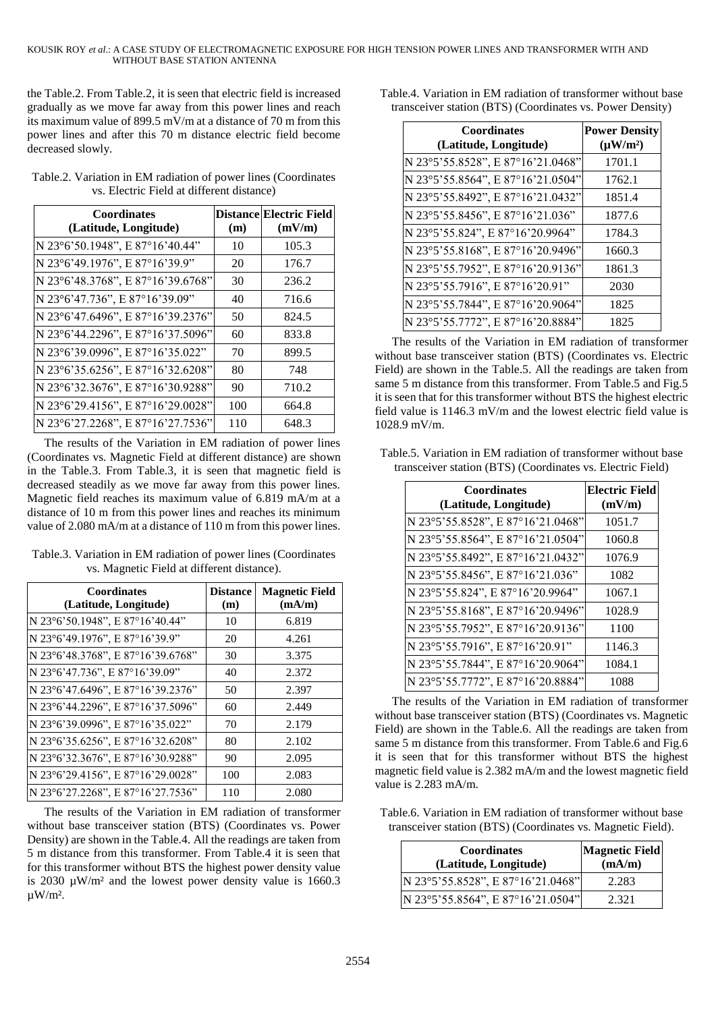#### KOUSIK ROY *et al*.: A CASE STUDY OF ELECTROMAGNETIC EXPOSURE FOR HIGH TENSION POWER LINES AND TRANSFORMER WITH AND WITHOUT BASE STATION ANTENNA

the Table.2. From Table.2, it is seen that electric field is increased gradually as we move far away from this power lines and reach its maximum value of 899.5 mV/m at a distance of 70 m from this power lines and after this 70 m distance electric field become decreased slowly.

| <b>Coordinates</b><br>(Latitude, Longitude) | (m) | <b>Distance Electric Field</b><br>(mV/m) |
|---------------------------------------------|-----|------------------------------------------|
| N 23°6'50.1948", E 87°16'40.44"             | 10  | 105.3                                    |
| N 23°6'49.1976", E 87°16'39.9"              | 20  | 176.7                                    |
| N 23°6'48.3768", E 87°16'39.6768"           | 30  | 236.2                                    |
| N 23°6'47.736", E 87°16'39.09"              | 40  | 716.6                                    |
| N 23°6'47.6496", E 87°16'39.2376"           | 50  | 824.5                                    |
| N 23°6'44.2296", E 87°16'37.5096"           | 60  | 833.8                                    |
| N 23°6'39.0996", E 87°16'35.022"            | 70  | 899.5                                    |
| N 23°6'35.6256", E 87°16'32.6208"           | 80  | 748                                      |
| N 23°6'32.3676", E 87°16'30.9288"           | 90  | 710.2                                    |
| N 23°6'29.4156", E 87°16'29.0028"           | 100 | 664.8                                    |
| N 23°6'27.2268", E 87°16'27.7536"           | 110 | 648.3                                    |

Table.2. Variation in EM radiation of power lines (Coordinates vs. Electric Field at different distance)

The results of the Variation in EM radiation of power lines (Coordinates vs. Magnetic Field at different distance) are shown in the Table.3. From Table.3, it is seen that magnetic field is decreased steadily as we move far away from this power lines. Magnetic field reaches its maximum value of 6.819 mA/m at a distance of 10 m from this power lines and reaches its minimum value of 2.080 mA/m at a distance of 110 m from this power lines.

| VS. Magnetic Field at different distance).  |                        |                                 |
|---------------------------------------------|------------------------|---------------------------------|
| <b>Coordinates</b><br>(Latitude, Longitude) | <b>Distance</b><br>(m) | <b>Magnetic Field</b><br>(mA/m) |
| N 23°6'50.1948", E 87°16'40.44"             | 10                     | 6.819                           |
| $N$ 23% 10 1076" E 87% 6'30 0"              | 20                     | $\Lambda$ 261                   |

Table.3. Variation in EM radiation of power lines (Coordinates vs. Magnetic Field at different distance).

| N 23°6'49.1976", E 87°16'39.9"    | 20  | 4.261 |
|-----------------------------------|-----|-------|
| N 23°6'48.3768", E 87°16'39.6768" | 30  | 3.375 |
| N 23°6'47.736", E 87°16'39.09"    | 40  | 2.372 |
| N 23°6'47.6496", E 87°16'39.2376" | 50  | 2.397 |
| N 23°6'44.2296", E 87°16'37.5096" | 60  | 2.449 |
| N 23°6'39.0996", E 87°16'35.022"  | 70  | 2.179 |
| N 23°6'35.6256", E 87°16'32.6208" | 80  | 2.102 |
| N 23°6'32.3676", E 87°16'30.9288" | 90  | 2.095 |
| N 23°6'29.4156", E 87°16'29.0028" | 100 | 2.083 |
| N 23°6'27.2268", E 87°16'27.7536" | 110 | 2.080 |

The results of the Variation in EM radiation of transformer without base transceiver station (BTS) (Coordinates vs. Power Density) are shown in the Table.4. All the readings are taken from 5 m distance from this transformer. From Table.4 it is seen that for this transformer without BTS the highest power density value is 2030 µW/m² and the lowest power density value is 1660.3  $\mu W/m^2$ .

Table.4. Variation in EM radiation of transformer without base transceiver station (BTS) (Coordinates vs. Power Density)

| <b>Coordinates</b><br>(Latitude, Longitude) | <b>Power Density</b><br>$(\mu W/m^2)$ |
|---------------------------------------------|---------------------------------------|
| N 23°5'55.8528", E 87°16'21.0468"           | 1701.1                                |
| N 23°5'55.8564", E 87°16'21.0504"           | 1762.1                                |
| N 23°5'55.8492", E 87°16'21.0432"           | 1851.4                                |
| N 23°5'55.8456", E 87°16'21.036"            | 1877.6                                |
| N 23°5'55.824", E 87°16'20.9964"            | 1784.3                                |
| N 23°5'55.8168", E 87°16'20.9496"           | 1660.3                                |
| N 23°5'55.7952", E 87°16'20.9136"           | 1861.3                                |
| N 23°5'55.7916", E 87°16'20.91"             | 2030                                  |
| N 23°5'55.7844", E 87°16'20.9064"           | 1825                                  |
| N 23°5'55.7772", E 87°16'20.8884"           | 1825                                  |

The results of the Variation in EM radiation of transformer without base transceiver station (BTS) (Coordinates vs. Electric Field) are shown in the Table.5. All the readings are taken from same 5 m distance from this transformer. From Table.5 and Fig.5 it is seen that for this transformer without BTS the highest electric field value is 1146.3 mV/m and the lowest electric field value is 1028.9 mV/m.

| <b>Coordinates</b><br>(Latitude, Longitude) | <b>Electric Field</b><br>(mV/m) |
|---------------------------------------------|---------------------------------|
| N 23°5'55.8528", E 87°16'21.0468"           | 1051.7                          |
| N 23°5'55.8564", E 87°16'21.0504"           | 1060.8                          |
| N 23°5'55.8492", E 87°16'21.0432"           | 1076.9                          |
| N 23°5'55.8456", E 87°16'21.036"            | 1082                            |
| N 23°5'55.824", E 87°16'20.9964"            | 1067.1                          |
| N 23°5'55.8168", E 87°16'20.9496"           | 1028.9                          |
| N 23°5'55.7952", E 87°16'20.9136"           | 1100                            |
| N 23°5'55.7916", E 87°16'20.91"             | 1146.3                          |
| N 23°5'55.7844", E 87°16'20.9064"           | 1084.1                          |
| N 23°5'55.7772", E 87°16'20.8884"           | 1088                            |

Table.5. Variation in EM radiation of transformer without base transceiver station (BTS) (Coordinates vs. Electric Field)

The results of the Variation in EM radiation of transformer without base transceiver station (BTS) (Coordinates vs. Magnetic Field) are shown in the Table.6. All the readings are taken from same 5 m distance from this transformer. From Table.6 and Fig.6 it is seen that for this transformer without BTS the highest magnetic field value is 2.382 mA/m and the lowest magnetic field value is 2.283 mA/m.

Table.6. Variation in EM radiation of transformer without base transceiver station (BTS) (Coordinates vs. Magnetic Field).

| <b>Coordinates</b><br>(Latitude, Longitude) | <b>Magnetic Field</b><br>(mA/m) |
|---------------------------------------------|---------------------------------|
| N 23°5'55.8528", E 87°16'21.0468"           | 2.283                           |
| N 23°5'55.8564", E 87°16'21.0504"           | 2.321                           |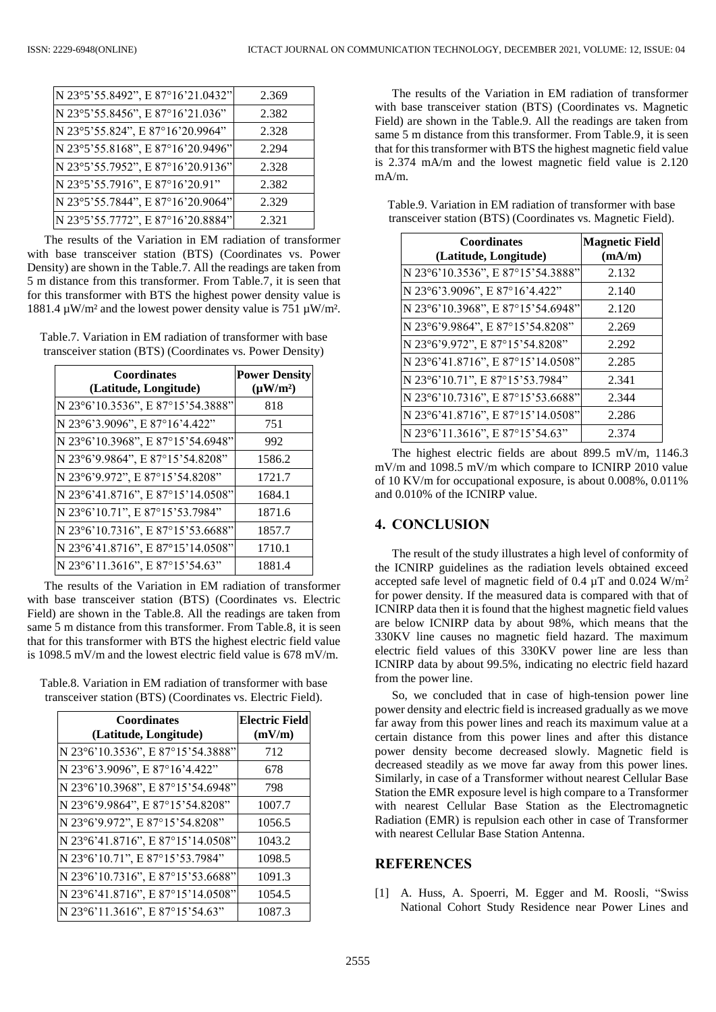| N 23°5'55.8492", E 87°16'21.0432" | 2.369 |
|-----------------------------------|-------|
| N 23°5'55.8456", E 87°16'21.036"  | 2.382 |
| N 23°5'55.824", E 87°16'20.9964"  | 2.328 |
| N 23°5'55.8168", E 87°16'20.9496" | 2.294 |
| N 23°5'55.7952", E 87°16'20.9136" | 2.328 |
| N 23°5'55.7916", E 87°16'20.91"   | 2.382 |
| N 23°5'55.7844", E 87°16'20.9064" | 2.329 |
| N 23°5'55.7772", E 87°16'20.8884" | 2.321 |

The results of the Variation in EM radiation of transformer with base transceiver station (BTS) (Coordinates vs. Power Density) are shown in the Table.7. All the readings are taken from 5 m distance from this transformer. From Table.7, it is seen that for this transformer with BTS the highest power density value is 1881.4  $\mu$ W/m<sup>2</sup> and the lowest power density value is 751  $\mu$ W/m<sup>2</sup>.

Table.7. Variation in EM radiation of transformer with base transceiver station (BTS) (Coordinates vs. Power Density)

| <b>Coordinates</b><br>(Latitude, Longitude) | <b>Power Density</b><br>$(\mu W/m^2)$ |
|---------------------------------------------|---------------------------------------|
| N 23°6'10.3536", E 87°15'54.3888"           | 818                                   |
| N 23°6'3.9096", E 87°16'4.422"              | 751                                   |
| N 23°6'10.3968", E 87°15'54.6948"           | 992                                   |
| N 23°6'9.9864", E 87°15'54.8208"            | 1586.2                                |
| N 23°6'9.972", E 87°15'54.8208"             | 1721.7                                |
| N 23°6'41.8716", E 87°15'14.0508"           | 1684.1                                |
| N 23°6'10.71", E 87°15'53.7984"             | 1871.6                                |
| N 23°6'10.7316", E 87°15'53.6688"           | 1857.7                                |
| N 23°6'41.8716", E 87°15'14.0508"           | 1710.1                                |
| N 23°6'11.3616", E 87°15'54.63"             | 1881.4                                |

The results of the Variation in EM radiation of transformer with base transceiver station (BTS) (Coordinates vs. Electric Field) are shown in the Table.8. All the readings are taken from same 5 m distance from this transformer. From Table.8, it is seen that for this transformer with BTS the highest electric field value is 1098.5 mV/m and the lowest electric field value is 678 mV/m.

Table.8. Variation in EM radiation of transformer with base transceiver station (BTS) (Coordinates vs. Electric Field).

| <b>Coordinates</b><br>(Latitude, Longitude) | <b>Electric Field</b><br>(mV/m) |
|---------------------------------------------|---------------------------------|
| N 23°6'10.3536", E 87°15'54.3888"           | 712                             |
| N 23°6'3.9096", E 87°16'4.422"              | 678                             |
| N 23°6'10.3968", E 87°15'54.6948"           | 798                             |
| N 23°6'9.9864", E 87°15'54.8208"            | 1007.7                          |
| N 23°6'9.972", E 87°15'54.8208"             | 1056.5                          |
| N 23°6'41.8716", E 87°15'14.0508"           | 1043.2                          |
| N 23°6'10.71", E 87°15'53.7984"             | 1098.5                          |
| N 23°6'10.7316", E 87°15'53.6688"           | 1091.3                          |
| N 23°6'41.8716", E 87°15'14.0508"           | 1054.5                          |
| N 23°6'11.3616", E 87°15'54.63"             | 1087.3                          |

The results of the Variation in EM radiation of transformer with base transceiver station (BTS) (Coordinates vs. Magnetic Field) are shown in the Table.9. All the readings are taken from same 5 m distance from this transformer. From Table.9, it is seen that for this transformer with BTS the highest magnetic field value is 2.374 mA/m and the lowest magnetic field value is 2.120 mA/m.

Table.9. Variation in EM radiation of transformer with base transceiver station (BTS) (Coordinates vs. Magnetic Field).

| <b>Coordinates</b><br>(Latitude, Longitude) | <b>Magnetic Field</b><br>(mA/m) |
|---------------------------------------------|---------------------------------|
| N 23°6'10.3536", E 87°15'54.3888"           | 2.132                           |
| N 23°6'3.9096", E 87°16'4.422"              | 2.140                           |
| N 23°6'10.3968", E 87°15'54.6948"           | 2.120                           |
| N 23°6'9.9864", E 87°15'54.8208"            | 2.269                           |
| N 23°6'9.972", E 87°15'54.8208"             | 2.292                           |
| N 23°6'41.8716", E 87°15'14.0508"           | 2.285                           |
| N 23°6'10.71", E 87°15'53.7984"             | 2.341                           |
| N 23°6'10.7316", E 87°15'53.6688"           | 2.344                           |
| N 23°6'41.8716", E 87°15'14.0508"           | 2.286                           |
| N 23°6'11.3616", E 87°15'54.63"             | 2.374                           |

The highest electric fields are about 899.5 mV/m, 1146.3 mV/m and 1098.5 mV/m which compare to ICNIRP 2010 value of 10 KV/m for occupational exposure, is about 0.008%, 0.011% and 0.010% of the ICNIRP value.

# **4. CONCLUSION**

The result of the study illustrates a high level of conformity of the ICNIRP guidelines as the radiation levels obtained exceed accepted safe level of magnetic field of 0.4  $\mu$ T and 0.024 W/m<sup>2</sup> for power density. If the measured data is compared with that of ICNIRP data then it is found that the highest magnetic field values are below ICNIRP data by about 98%, which means that the 330KV line causes no magnetic field hazard. The maximum electric field values of this 330KV power line are less than ICNIRP data by about 99.5%, indicating no electric field hazard from the power line.

So, we concluded that in case of high-tension power line power density and electric field is increased gradually as we move far away from this power lines and reach its maximum value at a certain distance from this power lines and after this distance power density become decreased slowly. Magnetic field is decreased steadily as we move far away from this power lines. Similarly, in case of a Transformer without nearest Cellular Base Station the EMR exposure level is high compare to a Transformer with nearest Cellular Base Station as the Electromagnetic Radiation (EMR) is repulsion each other in case of Transformer with nearest Cellular Base Station Antenna.

# **REFERENCES**

[1] A. Huss, A. Spoerri, M. Egger and M. Roosli, "Swiss National Cohort Study Residence near Power Lines and